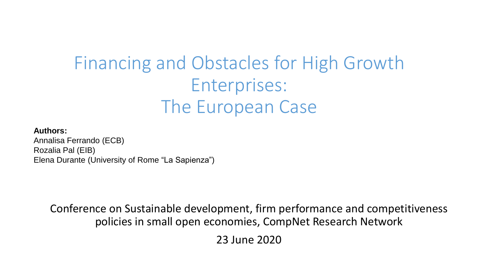### Financing and Obstacles for High Growth Enterprises: The European Case

### **Authors:**

Annalisa Ferrando (ECB) Rozalia Pal (EIB) Elena Durante (University of Rome "La Sapienza")

Conference on Sustainable development, firm performance and competitiveness policies in small open economies, CompNet Research Network

23 June 2020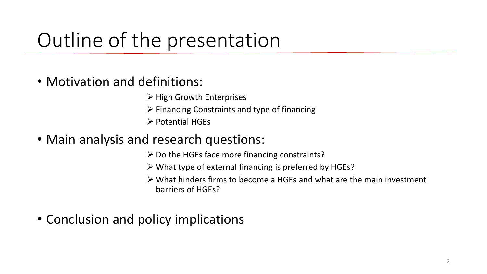## Outline of the presentation

- Motivation and definitions:
	- ➢ High Growth Enterprises
	- ➢ Financing Constraints and type of financing
	- ➢ Potential HGEs
- Main analysis and research questions:
	- ➢ Do the HGEs face more financing constraints?
	- ➢ What type of external financing is preferred by HGEs?
	- ➢ What hinders firms to become a HGEs and what are the main investment barriers of HGEs?
- Conclusion and policy implications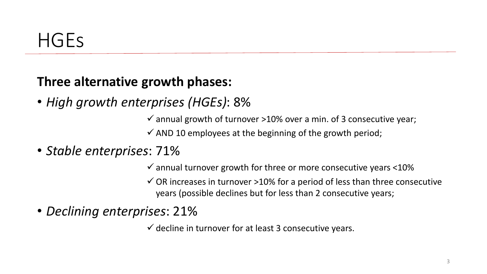### **Three alternative growth phases:**

• *High growth enterprises (HGEs)*: 8%

 $\checkmark$  annual growth of turnover >10% over a min. of 3 consecutive year;

 $\checkmark$  AND 10 employees at the beginning of the growth period;

• *Stable enterprises*: 71%

 $\checkmark$  annual turnover growth for three or more consecutive years  $\leq$ 10%

 $\checkmark$  OR increases in turnover >10% for a period of less than three consecutive years (possible declines but for less than 2 consecutive years;

• *Declining enterprises*: 21%

 $\checkmark$  decline in turnover for at least 3 consecutive years.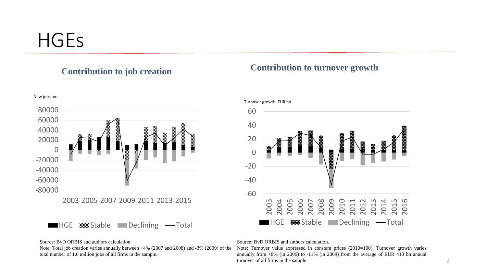### **HGES**



### **Contribution to job creation Contribution to turnover growth**



### Turnover growth, EUR bn

### Source: BvD ORBIS and authors calculation.

Note: Total job creation varies annually between +4% (2007 and 2008) and -3% (2009) of the total number of 1.6 million jobs of all firms in the sample.

### Source: BvD ORBIS and authors calculation.

Note: Turnover value expressed in constant prices (2010=100). Turnover growth varies annually from +8% (in 2006) to -11% (in 2009) from the average of EUR 413 bn annual turnover of all firms in the sample.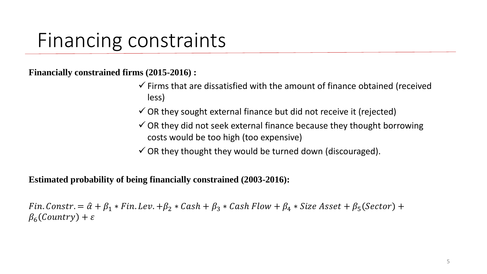### Financing constraints

**Financially constrained firms (2015-2016) :**

- $\checkmark$  Firms that are dissatisfied with the amount of finance obtained (received less)
- $\checkmark$  OR they sought external finance but did not receive it (rejected)
- $\checkmark$  OR they did not seek external finance because they thought borrowing costs would be too high (too expensive)
- $\checkmark$  OR they thought they would be turned down (discouraged).

**Estimated probability of being financially constrained (2003-2016):** 

Fin. Constr. =  $\hat{\alpha} + \beta_1 * \text{Fin}$ . Lev.  $+\beta_2 * \text{Cash} + \beta_3 * \text{Cash Flow} + \beta_4 * \text{Size Asset} + \beta_5 (\text{Section}) +$  $\beta_6$ (Country) +  $\varepsilon$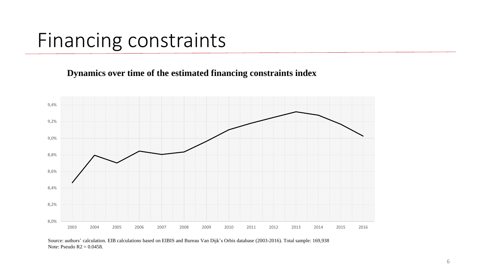### Financing constraints

**Dynamics over time of the estimated financing constraints index**



Source: authors' calculation. EIB calculations based on EIBIS and Bureau Van Dijk's Orbis database (2003-2016). Total sample: 169,938 Note: Pseudo  $R2 = 0.0458$ .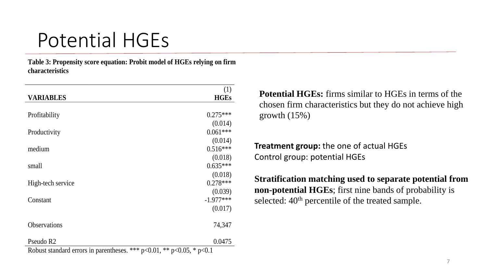## Potential HGEs

**Table 3: Propensity score equation: Probit model of HGEs relying on firm characteristics**

|                                                                                        | (1)         |
|----------------------------------------------------------------------------------------|-------------|
| <b>VARIABLES</b>                                                                       | <b>HGEs</b> |
|                                                                                        |             |
| Profitability                                                                          | $0.275***$  |
|                                                                                        | (0.014)     |
| Productivity                                                                           | $0.061***$  |
|                                                                                        | (0.014)     |
| medium                                                                                 | $0.516***$  |
|                                                                                        | (0.018)     |
| small                                                                                  | $0.635***$  |
|                                                                                        | (0.018)     |
| High-tech service                                                                      | $0.278***$  |
|                                                                                        | (0.039)     |
| Constant                                                                               | $-1.977***$ |
|                                                                                        | (0.017)     |
| Observations                                                                           | 74,347      |
|                                                                                        |             |
| Pseudo R <sub>2</sub>                                                                  | 0.0475      |
| Dobust standard errors in perentheses $***$ p $(0.01 \times R) \times (0.05 \times R)$ |             |

**Potential HGEs:** firms similar to HGEs in terms of the chosen firm characteristics but they do not achieve high growth  $(15%)$ 

**Treatment group:** the one of actual HGEs Control group: potential HGEs

**Stratification matching used to separate potential from non-potential HGEs**; first nine bands of probability is selected:  $40<sup>th</sup>$  percentile of the treated sample.

Robust standard errors in parentheses. \*\*\*  $p\text{\textless}0.01$ , \*\*  $p\text{\textless}0.05$ , \*  $p\text{\textless}0.1$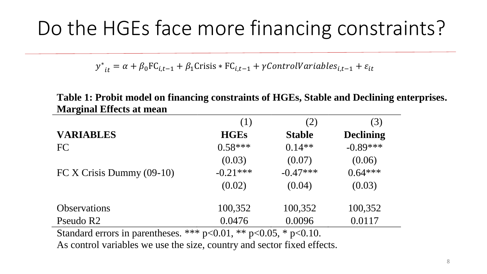## Do the HGEs face more financing constraints?

 $y^*$  $\epsilon_{it} = \alpha + \beta_0 \text{FC}_{i,t-1} + \beta_1 \text{Crisis} * \text{FC}_{i,t-1} + \gamma \text{ControlVariables}_{i,t-1} + \varepsilon_{it}$ 

|                                                | (1)           | (2)           | (3)              |  |
|------------------------------------------------|---------------|---------------|------------------|--|
| <b>VARIABLES</b>                               | <b>HGEs</b>   | <b>Stable</b> | <b>Declining</b> |  |
| FC                                             | $0.58***$     | $0.14**$      | $-0.89***$       |  |
|                                                | (0.03)        | (0.07)        | (0.06)           |  |
| FC X Crisis Dummy $(09-10)$                    | $-0.21***$    | $-0.47***$    | $0.64***$        |  |
|                                                | (0.02)        | (0.04)        | (0.03)           |  |
| <b>Observations</b>                            | 100,352       | 100,352       | 100,352          |  |
| Pseudo R2                                      | 0.0476        | 0.0096        | 0.0117           |  |
| Standard errors in parentheses. *** $p<0.01$ . | ** $p<0.05$ . | * $p<0.10$ .  |                  |  |

**Table 1: Probit model on financing constraints of HGEs, Stable and Declining enterprises. Marginal Effects at mean**

 $\text{ETOIS III}$  parentheses.  $\cdots$  p $\ltimes$ 0.01,  $\cdots$  p $\ltimes$ 0.05,  $\cdots$  p As control variables we use the size, country and sector fixed effects.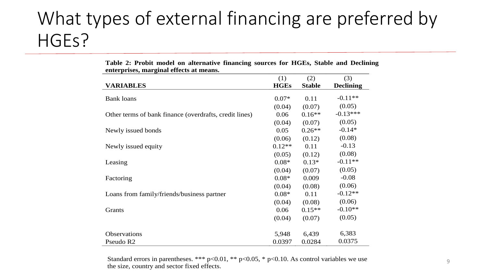### What types of external financing are preferred by HGEs?

|                                                        | (1)         | (2)           | (3)              |
|--------------------------------------------------------|-------------|---------------|------------------|
| <b>VARIABLES</b>                                       | <b>HGEs</b> | <b>Stable</b> | <b>Declining</b> |
| <b>Bank loans</b>                                      | $0.07*$     | 0.11          | $-0.11**$        |
|                                                        | (0.04)      | (0.07)        | (0.05)           |
| Other terms of bank finance (overdrafts, credit lines) | 0.06        | $0.16**$      | $-0.13***$       |
|                                                        | (0.04)      | (0.07)        | (0.05)           |
| Newly issued bonds                                     | 0.05        | $0.26**$      | $-0.14*$         |
|                                                        | (0.06)      | (0.12)        | (0.08)           |
| Newly issued equity                                    | $0.12**$    | 0.11          | $-0.13$          |
|                                                        | (0.05)      | (0.12)        | (0.08)           |
| Leasing                                                | $0.08*$     | $0.13*$       | $-0.11**$        |
|                                                        | (0.04)      | (0.07)        | (0.05)           |
| Factoring                                              | $0.08*$     | 0.009         | $-0.08$          |
|                                                        | (0.04)      | (0.08)        | (0.06)           |
| Loans from family/friends/business partner             | $0.08*$     | 0.11          | $-0.12**$        |
|                                                        | (0.04)      | (0.08)        | (0.06)           |
| Grants                                                 | 0.06        | $0.15**$      | $-0.10**$        |
|                                                        | (0.04)      | (0.07)        | (0.05)           |
| Observations                                           | 5,948       | 6,439         | 6,383            |
| Pseudo R2                                              | 0.0397      | 0.0284        | 0.0375           |

**Table 2: Probit model on alternative financing sources for HGEs, Stable and Declining enterprises, marginal effects at means.** 

Standard errors in parentheses. \*\*\*  $p<0.01$ , \*\*  $p<0.05$ , \*  $p<0.10$ . As control variables we use the size, country and sector fixed effects.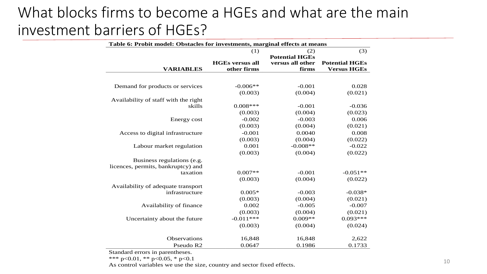### What blocks firms to become a HGEs and what are the main investment barriers of HGEs?

| Table 6: Probit model: Obstacles for investments, marginal effects at means |                        |                       |                       |  |  |  |
|-----------------------------------------------------------------------------|------------------------|-----------------------|-----------------------|--|--|--|
|                                                                             | (1)                    | (2)                   | (3)                   |  |  |  |
|                                                                             |                        | <b>Potential HGEs</b> |                       |  |  |  |
|                                                                             | <b>HGEs versus all</b> | versus all other      | <b>Potential HGEs</b> |  |  |  |
| <b>VARIABLES</b>                                                            | other firms            | firms                 | <b>Versus HGEs</b>    |  |  |  |
|                                                                             |                        |                       |                       |  |  |  |
| Demand for products or services                                             | $-0.006**$             | $-0.001$              | 0.028                 |  |  |  |
|                                                                             | (0.003)                | (0.004)               | (0.021)               |  |  |  |
| Availability of staff with the right                                        |                        |                       |                       |  |  |  |
| skills                                                                      | $0.008***$             | $-0.001$              | $-0.036$              |  |  |  |
|                                                                             | (0.003)                | (0.004)               | (0.023)               |  |  |  |
| Energy cost                                                                 | $-0.002$               | $-0.003$              | 0.006                 |  |  |  |
|                                                                             | (0.003)                | (0.004)               | (0.021)               |  |  |  |
| Access to digital infrastructure                                            | $-0.001$               | 0.0040                | 0.008                 |  |  |  |
|                                                                             | (0.003)                | (0.004)               | (0.022)               |  |  |  |
| Labour market regulation                                                    | 0.001                  | $-0.008**$            | $-0.022$              |  |  |  |
|                                                                             | (0.003)                | (0.004)               | (0.022)               |  |  |  |
| Business regulations (e.g.                                                  |                        |                       |                       |  |  |  |
| licences, permits, bankruptcy) and                                          |                        |                       |                       |  |  |  |
| taxation                                                                    | $0.007**$              | $-0.001$              | $-0.051**$            |  |  |  |
|                                                                             | (0.003)                | (0.004)               | (0.022)               |  |  |  |
| Availability of adequate transport                                          |                        |                       |                       |  |  |  |
| infrastructure                                                              | $0.005*$               | $-0.003$              | $-0.038*$             |  |  |  |
|                                                                             | (0.003)                | (0.004)               | (0.021)               |  |  |  |
| Availability of finance                                                     | 0.002                  | $-0.005$              | $-0.007$              |  |  |  |
|                                                                             | (0.003)                | (0.004)               | (0.021)               |  |  |  |
| Uncertainty about the future                                                | $-0.011***$            | $0.009**$             | $0.093***$            |  |  |  |
|                                                                             | (0.003)                | (0.004)               | (0.024)               |  |  |  |
|                                                                             |                        |                       |                       |  |  |  |
| Observations                                                                | 16,848                 | 16,848                | 2,622                 |  |  |  |
| Pseudo R2                                                                   | 0.0647                 | 0.1986                | 0.1733                |  |  |  |

Standard errors in parentheses.

\*\*\* p<0.01, \*\* p<0.05, \* p<0.1

As control variables we use the size, country and sector fixed effects.